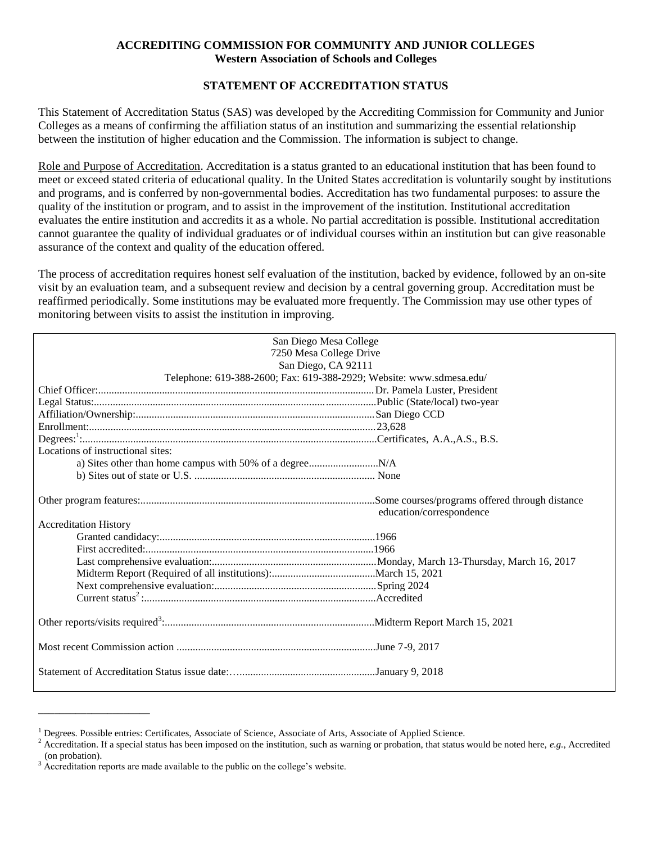# **ACCREDITING COMMISSION FOR COMMUNITY AND JUNIOR COLLEGES Western Association of Schools and Colleges**

# **STATEMENT OF ACCREDITATION STATUS**

This Statement of Accreditation Status (SAS) was developed by the Accrediting Commission for Community and Junior Colleges as a means of confirming the affiliation status of an institution and summarizing the essential relationship between the institution of higher education and the Commission. The information is subject to change.

Role and Purpose of Accreditation. Accreditation is a status granted to an educational institution that has been found to meet or exceed stated criteria of educational quality. In the United States accreditation is voluntarily sought by institutions and programs, and is conferred by non-governmental bodies. Accreditation has two fundamental purposes: to assure the quality of the institution or program, and to assist in the improvement of the institution. Institutional accreditation evaluates the entire institution and accredits it as a whole. No partial accreditation is possible. Institutional accreditation cannot guarantee the quality of individual graduates or of individual courses within an institution but can give reasonable assurance of the context and quality of the education offered.

The process of accreditation requires honest self evaluation of the institution, backed by evidence, followed by an on-site visit by an evaluation team, and a subsequent review and decision by a central governing group. Accreditation must be reaffirmed periodically. Some institutions may be evaluated more frequently. The Commission may use other types of monitoring between visits to assist the institution in improving.

| San Diego Mesa College                                               |                          |
|----------------------------------------------------------------------|--------------------------|
| 7250 Mesa College Drive                                              |                          |
| San Diego, CA 92111                                                  |                          |
| Telephone: 619-388-2600; Fax: 619-388-2929; Website: www.sdmesa.edu/ |                          |
|                                                                      |                          |
|                                                                      |                          |
|                                                                      |                          |
|                                                                      |                          |
|                                                                      |                          |
|                                                                      |                          |
| Locations of instructional sites:                                    |                          |
|                                                                      |                          |
|                                                                      |                          |
|                                                                      |                          |
|                                                                      |                          |
|                                                                      | education/correspondence |
| <b>Accreditation History</b>                                         |                          |
|                                                                      |                          |
|                                                                      |                          |
|                                                                      |                          |
|                                                                      |                          |
|                                                                      |                          |
|                                                                      |                          |
|                                                                      |                          |
|                                                                      |                          |
|                                                                      |                          |
|                                                                      |                          |
|                                                                      |                          |
|                                                                      |                          |
|                                                                      |                          |

\_\_\_\_\_\_\_\_\_\_\_\_\_\_\_\_\_\_\_\_\_

<sup>&</sup>lt;sup>1</sup> Degrees. Possible entries: Certificates, Associate of Science, Associate of Arts, Associate of Applied Science.

<sup>2</sup> Accreditation. If a special status has been imposed on the institution, such as warning or probation, that status would be noted here, *e.g.*, Accredited (on probation).

<sup>&</sup>lt;sup>3</sup> Accreditation reports are made available to the public on the college's website.